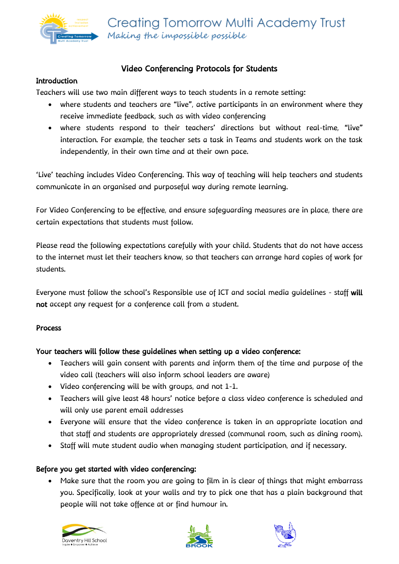

## Video Conferencing Protocols for Students

#### **Introduction**

Teachers will use two main different ways to teach students in a remote setting:

- where students and teachers are "live", active participants in an environment where they receive immediate feedback, such as with video conferencing
- where students respond to their teachers' directions but without real-time, "live" interaction. For example, the teacher sets a task in Teams and students work on the task independently, in their own time and at their own pace.

'Live' teaching includes Video Conferencing. This way of teaching will help teachers and students communicate in an organised and purposeful way during remote learning.

For Video Conferencing to be effective, and ensure safeguarding measures are in place, there are certain expectations that students must follow.

Please read the following expectations carefully with your child. Students that do not have access to the internet must let their teachers know, so that teachers can arrange hard copies of work for students.

Everyone must follow the school's Responsible use of ICT and social media guidelines - staff will not accept any request for a conference call from a student.

### Process

### Your teachers will follow these guidelines when setting up a video conference:

- Teachers will gain consent with parents and inform them of the time and purpose of the video call (teachers will also inform school leaders are aware)
- Video conferencing will be with groups, and not 1-1.
- Teachers will give least 48 hours' notice before a class video conference is scheduled and will only use parent email addresses
- Everyone will ensure that the video conference is taken in an appropriate location and that staff and students are appropriately dressed (communal room, such as dining room).
- Staff will mute student audio when managing student participation, and if necessary.

### Before you get started with video conferencing:

• Make sure that the room you are going to film in is clear of things that might embarrass you. Specifically, look at your walls and try to pick one that has a plain background that people will not take offence at or find humour in.